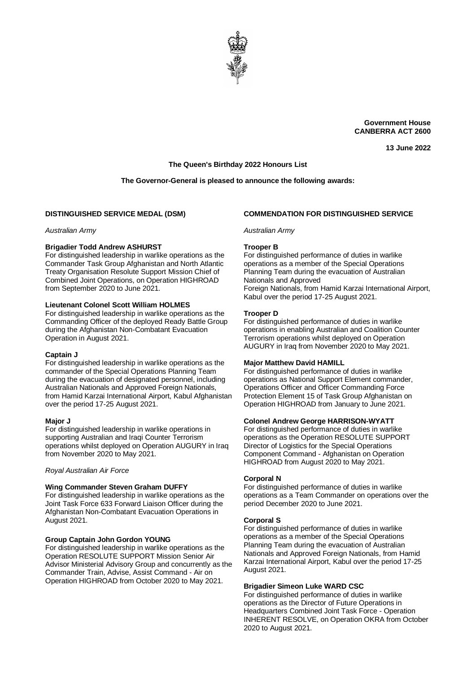

**Government House CANBERRA ACT 2600**

**13 June 2022**

# **The Queen's Birthday 2022 Honours List**

# **The Governor-General is pleased to announce the following awards:**

# **DISTINGUISHED SERVICE MEDAL (DSM)**

*Australian Army*

### **Brigadier Todd Andrew ASHURST**

For distinguished leadership in warlike operations as the Commander Task Group Afghanistan and North Atlantic Treaty Organisation Resolute Support Mission Chief of Combined Joint Operations, on Operation HIGHROAD from September 2020 to June 2021.

### **Lieutenant Colonel Scott William HOLMES**

For distinguished leadership in warlike operations as the Commanding Officer of the deployed Ready Battle Group during the Afghanistan Non-Combatant Evacuation Operation in August 2021.

#### **Captain J**

For distinguished leadership in warlike operations as the commander of the Special Operations Planning Team during the evacuation of designated personnel, including Australian Nationals and Approved Foreign Nationals, from Hamid Karzai International Airport, Kabul Afghanistan over the period 17-25 August 2021.

#### **Major J**

For distinguished leadership in warlike operations in supporting Australian and Iragi Counter Terrorism operations whilst deployed on Operation AUGURY in Iraq from November 2020 to May 2021.

#### *Royal Australian Air Force*

#### **Wing Commander Steven Graham DUFFY**

For distinguished leadership in warlike operations as the Joint Task Force 633 Forward Liaison Officer during the Afghanistan Non-Combatant Evacuation Operations in August 2021.

#### **Group Captain John Gordon YOUNG**

For distinguished leadership in warlike operations as the Operation RESOLUTE SUPPORT Mission Senior Air Advisor Ministerial Advisory Group and concurrently as the Commander Train, Advise, Assist Command - Air on Operation HIGHROAD from October 2020 to May 2021.

# **COMMENDATION FOR DISTINGUISHED SERVICE**

### *Australian Army*

#### **Trooper B**

For distinguished performance of duties in warlike operations as a member of the Special Operations Planning Team during the evacuation of Australian Nationals and Approved

Foreign Nationals, from Hamid Karzai International Airport, Kabul over the period 17-25 August 2021.

### **Trooper D**

For distinguished performance of duties in warlike operations in enabling Australian and Coalition Counter Terrorism operations whilst deployed on Operation AUGURY in Iraq from November 2020 to May 2021.

#### **Major Matthew David HAMILL**

For distinguished performance of duties in warlike operations as National Support Element commander, Operations Officer and Officer Commanding Force Protection Element 15 of Task Group Afghanistan on Operation HIGHROAD from January to June 2021.

#### **Colonel Andrew George HARRISON-WYATT**

For distinguished performance of duties in warlike operations as the Operation RESOLUTE SUPPORT Director of Logistics for the Special Operations Component Command - Afghanistan on Operation HIGHROAD from August 2020 to May 2021.

#### **Corporal N**

For distinguished performance of duties in warlike operations as a Team Commander on operations over the period December 2020 to June 2021.

#### **Corporal S**

For distinguished performance of duties in warlike operations as a member of the Special Operations Planning Team during the evacuation of Australian Nationals and Approved Foreign Nationals, from Hamid Karzai International Airport, Kabul over the period 17-25 August 2021.

### **Brigadier Simeon Luke WARD CSC**

For distinguished performance of duties in warlike operations as the Director of Future Operations in Headquarters Combined Joint Task Force - Operation INHERENT RESOLVE, on Operation OKRA from October 2020 to August 2021.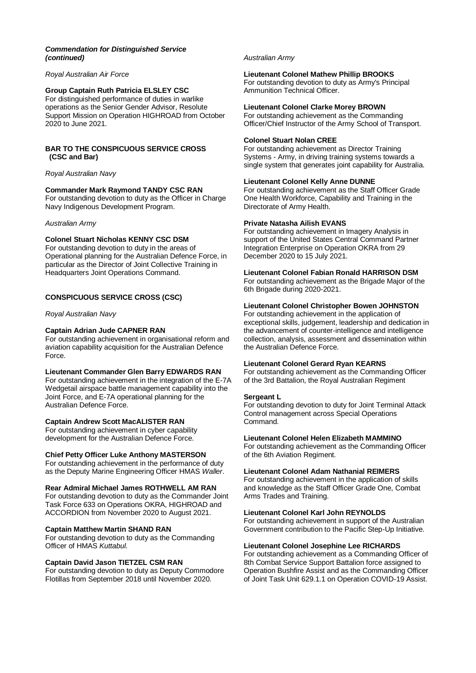# *Commendation for Distinguished Service (continued)*

# *Royal Australian Air Force*

# **Group Captain Ruth Patricia ELSLEY CSC**

For distinguished performance of duties in warlike operations as the Senior Gender Advisor, Resolute Support Mission on Operation HIGHROAD from October 2020 to June 2021.

## **BAR TO THE CONSPICUOUS SERVICE CROSS (CSC and Bar)**

### *Royal Australian Navy*

### **Commander Mark Raymond TANDY CSC RAN**

For outstanding devotion to duty as the Officer in Charge Navy Indigenous Development Program.

#### *Australian Army*

### **Colonel Stuart Nicholas KENNY CSC DSM**

For outstanding devotion to duty in the areas of Operational planning for the Australian Defence Force, in particular as the Director of Joint Collective Training in Headquarters Joint Operations Command.

# **CONSPICUOUS SERVICE CROSS (CSC)**

*Royal Australian Navy*

# **Captain Adrian Jude CAPNER RAN**

For outstanding achievement in organisational reform and aviation capability acquisition for the Australian Defence Force.

### **Lieutenant Commander Glen Barry EDWARDS RAN**

For outstanding achievement in the integration of the E-7A Wedgetail airspace battle management capability into the Joint Force, and E-7A operational planning for the Australian Defence Force.

### **Captain Andrew Scott MacALISTER RAN**

For outstanding achievement in cyber capability development for the Australian Defence Force.

### **Chief Petty Officer Luke Anthony MASTERSON**

For outstanding achievement in the performance of duty as the Deputy Marine Engineering Officer HMAS *Waller*.

### **Rear Admiral Michael James ROTHWELL AM RAN**

For outstanding devotion to duty as the Commander Joint Task Force 633 on Operations OKRA, HIGHROAD and ACCORDION from November 2020 to August 2021.

### **Captain Matthew Martin SHAND RAN**

For outstanding devotion to duty as the Commanding Officer of HMAS *Kuttabul*.

### **Captain David Jason TIETZEL CSM RAN**

For outstanding devotion to duty as Deputy Commodore Flotillas from September 2018 until November 2020.

#### *Australian Army*

# **Lieutenant Colonel Mathew Phillip BROOKS**

For outstanding devotion to duty as Army's Principal Ammunition Technical Officer.

#### **Lieutenant Colonel Clarke Morey BROWN**

For outstanding achievement as the Commanding Officer/Chief Instructor of the Army School of Transport.

### **Colonel Stuart Nolan CREE**

For outstanding achievement as Director Training Systems - Army, in driving training systems towards a single system that generates joint capability for Australia.

#### **Lieutenant Colonel Kelly Anne DUNNE**

For outstanding achievement as the Staff Officer Grade One Health Workforce, Capability and Training in the Directorate of Army Health.

### **Private Natasha Ailish EVANS**

For outstanding achievement in Imagery Analysis in support of the United States Central Command Partner Integration Enterprise on Operation OKRA from 29 December 2020 to 15 July 2021.

# **Lieutenant Colonel Fabian Ronald HARRISON DSM**

For outstanding achievement as the Brigade Major of the 6th Brigade during 2020-2021.

# **Lieutenant Colonel Christopher Bowen JOHNSTON**

For outstanding achievement in the application of exceptional skills, judgement, leadership and dedication in the advancement of counter-intelligence and intelligence collection, analysis, assessment and dissemination within the Australian Defence Force.

# **Lieutenant Colonel Gerard Ryan KEARNS**

For outstanding achievement as the Commanding Officer of the 3rd Battalion, the Royal Australian Regiment

#### **Sergeant L**

For outstanding devotion to duty for Joint Terminal Attack Control management across Special Operations Command.

### **Lieutenant Colonel Helen Elizabeth MAMMINO**

For outstanding achievement as the Commanding Officer of the 6th Aviation Regiment.

#### **Lieutenant Colonel Adam Nathanial REIMERS**

For outstanding achievement in the application of skills and knowledge as the Staff Officer Grade One, Combat Arms Trades and Training.

### **Lieutenant Colonel Karl John REYNOLDS**

For outstanding achievement in support of the Australian Government contribution to the Pacific Step-Up Initiative.

### **Lieutenant Colonel Josephine Lee RICHARDS**

For outstanding achievement as a Commanding Officer of 8th Combat Service Support Battalion force assigned to Operation Bushfire Assist and as the Commanding Officer of Joint Task Unit 629.1.1 on Operation COVID-19 Assist.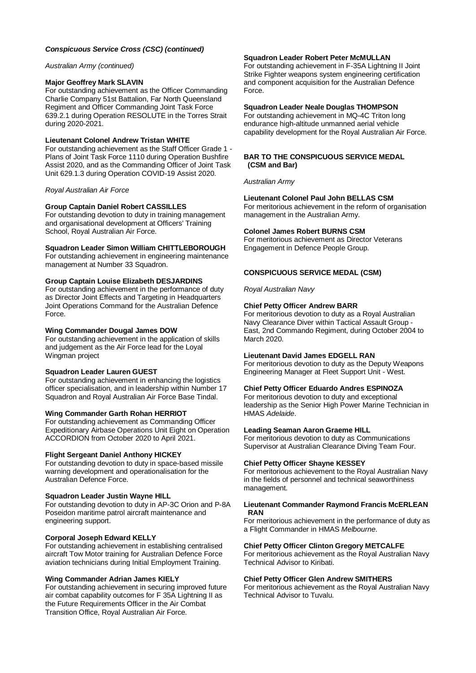# *Conspicuous Service Cross (CSC) (continued)*

#### *Australian Army (continued)*

#### **Major Geoffrey Mark SLAVIN**

For outstanding achievement as the Officer Commanding Charlie Company 51st Battalion, Far North Queensland Regiment and Officer Commanding Joint Task Force 639.2.1 during Operation RESOLUTE in the Torres Strait during 2020-2021.

# **Lieutenant Colonel Andrew Tristan WHITE**

For outstanding achievement as the Staff Officer Grade 1 - Plans of Joint Task Force 1110 during Operation Bushfire Assist 2020, and as the Commanding Officer of Joint Task Unit 629.1.3 during Operation COVID-19 Assist 2020.

### *Royal Australian Air Force*

#### **Group Captain Daniel Robert CASSILLES**

For outstanding devotion to duty in training management and organisational development at Officers' Training School, Royal Australian Air Force.

#### **Squadron Leader Simon William CHITTLEBOROUGH**

For outstanding achievement in engineering maintenance management at Number 33 Squadron.

### **Group Captain Louise Elizabeth DESJARDINS**

For outstanding achievement in the performance of duty as Director Joint Effects and Targeting in Headquarters Joint Operations Command for the Australian Defence Force.

#### **Wing Commander Dougal James DOW**

For outstanding achievement in the application of skills and judgement as the Air Force lead for the Loyal Wingman project

#### **Squadron Leader Lauren GUEST**

For outstanding achievement in enhancing the logistics officer specialisation, and in leadership within Number 17 Squadron and Royal Australian Air Force Base Tindal.

#### **Wing Commander Garth Rohan HERRIOT**

For outstanding achievement as Commanding Officer Expeditionary Airbase Operations Unit Eight on Operation ACCORDION from October 2020 to April 2021.

#### **Flight Sergeant Daniel Anthony HICKEY**

For outstanding devotion to duty in space-based missile warning development and operationalisation for the Australian Defence Force.

#### **Squadron Leader Justin Wayne HILL**

For outstanding devotion to duty in AP-3C Orion and P-8A Poseidon maritime patrol aircraft maintenance and engineering support.

#### **Corporal Joseph Edward KELLY**

For outstanding achievement in establishing centralised aircraft Tow Motor training for Australian Defence Force aviation technicians during Initial Employment Training.

#### **Wing Commander Adrian James KIELY**

For outstanding achievement in securing improved future air combat capability outcomes for F 35A Lightning II as the Future Requirements Officer in the Air Combat Transition Office, Royal Australian Air Force.

#### **Squadron Leader Robert Peter McMULLAN**

For outstanding achievement in F-35A Lightning II Joint Strike Fighter weapons system engineering certification and component acquisition for the Australian Defence Force.

#### **Squadron Leader Neale Douglas THOMPSON**

For outstanding achievement in MQ-4C Triton long endurance high-altitude unmanned aerial vehicle capability development for the Royal Australian Air Force.

#### **BAR TO THE CONSPICUOUS SERVICE MEDAL (CSM and Bar)**

*Australian Army*

# **Lieutenant Colonel Paul John BELLAS CSM**

For meritorious achievement in the reform of organisation management in the Australian Army.

### **Colonel James Robert BURNS CSM**

For meritorious achievement as Director Veterans Engagement in Defence People Group.

#### **CONSPICUOUS SERVICE MEDAL (CSM)**

*Royal Australian Navy*

# **Chief Petty Officer Andrew BARR**

For meritorious devotion to duty as a Royal Australian Navy Clearance Diver within Tactical Assault Group - East, 2nd Commando Regiment, during October 2004 to March 2020.

# **Lieutenant David James EDGELL RAN**

For meritorious devotion to duty as the Deputy Weapons Engineering Manager at Fleet Support Unit - West.

### **Chief Petty Officer Eduardo Andres ESPINOZA**

For meritorious devotion to duty and exceptional leadership as the Senior High Power Marine Technician in HMAS *Adelaide*.

#### **Leading Seaman Aaron Graeme HILL**

For meritorious devotion to duty as Communications Supervisor at Australian Clearance Diving Team Four.

#### **Chief Petty Officer Shayne KESSEY**

For meritorious achievement to the Royal Australian Navy in the fields of personnel and technical seaworthiness management.

#### **Lieutenant Commander Raymond Francis McERLEAN RAN**

For meritorious achievement in the performance of duty as a Flight Commander in HMAS *Melbourne*.

# **Chief Petty Officer Clinton Gregory METCALFE**

For meritorious achievement as the Royal Australian Navy Technical Advisor to Kiribati.

#### **Chief Petty Officer Glen Andrew SMITHERS**

For meritorious achievement as the Royal Australian Navy Technical Advisor to Tuvalu.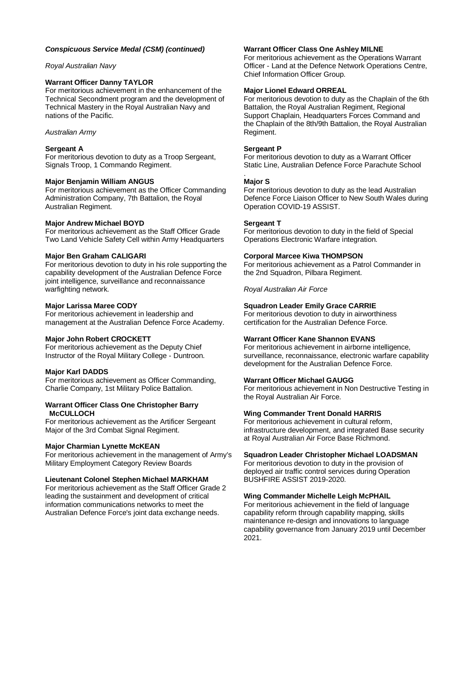# *Conspicuous Service Medal (CSM) (continued)*

# *Royal Australian Navy*

# **Warrant Officer Danny TAYLOR**

For meritorious achievement in the enhancement of the Technical Secondment program and the development of Technical Mastery in the Royal Australian Navy and nations of the Pacific.

### *Australian Army*

### **Sergeant A**

For meritorious devotion to duty as a Troop Sergeant, Signals Troop, 1 Commando Regiment.

#### **Major Benjamin William ANGUS**

For meritorious achievement as the Officer Commanding Administration Company, 7th Battalion, the Royal Australian Regiment.

# **Major Andrew Michael BOYD**

For meritorious achievement as the Staff Officer Grade Two Land Vehicle Safety Cell within Army Headquarters

#### **Major Ben Graham CALIGARI**

For meritorious devotion to duty in his role supporting the capability development of the Australian Defence Force joint intelligence, surveillance and reconnaissance warfighting network.

#### **Major Larissa Maree CODY**

For meritorious achievement in leadership and management at the Australian Defence Force Academy.

### **Major John Robert CROCKETT**

For meritorious achievement as the Deputy Chief Instructor of the Royal Military College - Duntroon.

### **Major Karl DADDS**

For meritorious achievement as Officer Commanding, Charlie Company, 1st Military Police Battalion.

#### **Warrant Officer Class One Christopher Barry McCULLOCH**

For meritorious achievement as the Artificer Sergeant Major of the 3rd Combat Signal Regiment.

#### **Major Charmian Lynette McKEAN**

For meritorious achievement in the management of Army's Military Employment Category Review Boards

### **Lieutenant Colonel Stephen Michael MARKHAM**

For meritorious achievement as the Staff Officer Grade 2 leading the sustainment and development of critical information communications networks to meet the Australian Defence Force's joint data exchange needs.

### **Warrant Officer Class One Ashley MILNE**

For meritorious achievement as the Operations Warrant Officer - Land at the Defence Network Operations Centre, Chief Information Officer Group.

# **Major Lionel Edward ORREAL**

For meritorious devotion to duty as the Chaplain of the 6th Battalion, the Royal Australian Regiment, Regional Support Chaplain, Headquarters Forces Command and the Chaplain of the 8th/9th Battalion, the Royal Australian Regiment.

#### **Sergeant P**

For meritorious devotion to duty as a Warrant Officer Static Line, Australian Defence Force Parachute School

#### **Major S**

.

For meritorious devotion to duty as the lead Australian Defence Force Liaison Officer to New South Wales during Operation COVID-19 ASSIST.

#### **Sergeant T**

For meritorious devotion to duty in the field of Special Operations Electronic Warfare integration.

#### **Corporal Marcee Kiwa THOMPSON**

For meritorious achievement as a Patrol Commander in the 2nd Squadron, Pilbara Regiment.

*Royal Australian Air Force*

# **Squadron Leader Emily Grace CARRIE**

For meritorious devotion to duty in airworthiness certification for the Australian Defence Force.

# **Warrant Officer Kane Shannon EVANS**

For meritorious achievement in airborne intelligence, surveillance, reconnaissance, electronic warfare capability development for the Australian Defence Force.

### **Warrant Officer Michael GAUGG**

For meritorious achievement in Non Destructive Testing in the Royal Australian Air Force.

#### **Wing Commander Trent Donald HARRIS**

For meritorious achievement in cultural reform, infrastructure development, and integrated Base security at Royal Australian Air Force Base Richmond.

### **Squadron Leader Christopher Michael LOADSMAN**

For meritorious devotion to duty in the provision of deployed air traffic control services during Operation BUSHFIRE ASSIST 2019-2020.

#### **Wing Commander Michelle Leigh McPHAIL**

For meritorious achievement in the field of language capability reform through capability mapping, skills maintenance re-design and innovations to language capability governance from January 2019 until December 2021.